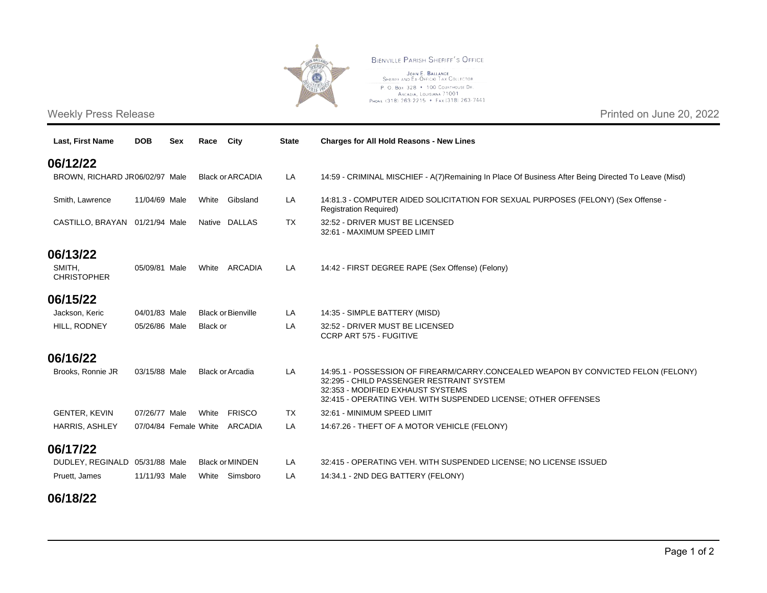

**Last, First Name DOB Sex Race City State Charges for All Hold Reasons - New Lines**

**BIENVILLE PARISH SHERIFF'S OFFICE** 

JOHN E. BALLANCE SHERIFF AND EX-OFFICIO TAX COLLECTOR P. O. Box 328 . 100 COURTHOUSE DR. ARCADIA, LOUISIANA 71001 PHONE (318) 263-2215 . Fax (318) 263-7441

## Weekly Press Release Printed on June 20, 2022

**06/12/22**

**06/13/22** SMITH, **CHRISTOPHER** 

**06/15/22**

**06/16/22**

BROWN, RICHARD JR06/02/97 Male Black orARCADIA LA 14:59 - CRIMINAL MISCHIEF - A(7)Remaining In Place Of Business After Being Directed To Leave (Misd) Smith, Lawrence 11/04/69 Male White Gibsland LA 14:81.3 - COMPUTER AIDED SOLICITATION FOR SEXUAL PURPOSES (FELONY) (Sex Offense -Registration Required) CASTILLO, BRAYAN 01/21/94 Male Native DALLAS TX 32:52 - DRIVER MUST BE LICENSED 32:61 - MAXIMUM SPEED LIMIT 05/09/81 Male White ARCADIA LA 14:42 - FIRST DEGREE RAPE (Sex Offense) (Felony) Jackson, Keric 04/01/83 Male Black orBienville LA 14:35 - SIMPLE BATTERY (MISD) HILL, RODNEY 05/26/86 Male Black or LA 32:52 - DRIVER MUST BE LICENSED CCRP ART 575 - FUGITIVE Brooks, Ronnie JR 03/15/88 Male Black orArcadia LA 14:95.1 - POSSESSION OF FIREARM/CARRY.CONCEALED WEAPON BY CONVICTED FELON (FELONY) 32:295 - CHILD PASSENGER RESTRAINT SYSTEM 32:353 - MODIFIED EXHAUST SYSTEMS 32:415 - OPERATING VEH. WITH SUSPENDED LICENSE; OTHER OFFENSES GENTER, KEVIN 07/26/77 Male White FRISCO TX 32:61 - MINIMUM SPEED LIMIT HARRIS, ASHLEY 07/04/84 Female White ARCADIA LA 14:67.26 - THEFT OF A MOTOR VEHICLE (FELONY) DUDLEY, REGINALD 05/31/88 Male Black orMINDEN LA 32:415 - OPERATING VEH. WITH SUSPENDED LICENSE; NO LICENSE ISSUED

Pruett, James 11/11/93 Male White Simsboro LA 14:34.1 - 2ND DEG BATTERY (FELONY)

## **06/18/22**

**06/17/22**